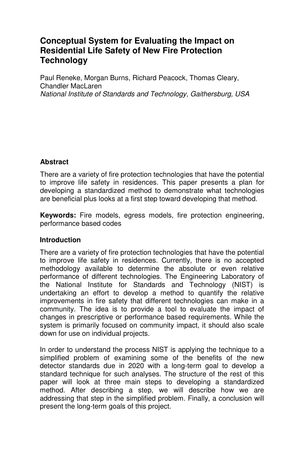# **Conceptual System for Evaluating the Impact on Residential Life Safety of New Fire Protection Technology**

Paul Reneke, Morgan Burns, Richard Peacock, Thomas Cleary, Chandler MacLaren National Institute of Standards and Technology, Gaithersburg, USA

## **Abstract**

There are a variety of fire protection technologies that have the potential to improve life safety in residences. This paper presents a plan for developing a standardized method to demonstrate what technologies are beneficial plus looks at a first step toward developing that method.

**Keywords:** Fire models, egress models, fire protection engineering, performance based codes

#### **Introduction**

There are a variety of fire protection technologies that have the potential to improve life safety in residences. Currently, there is no accepted methodology available to determine the absolute or even relative performance of different technologies. The Engineering Laboratory of the National Institute for Standards and Technology (NIST) is undertaking an effort to develop a method to quantify the relative improvements in fire safety that different technologies can make in a community. The idea is to provide a tool to evaluate the impact of changes in prescriptive or performance based requirements. While the system is primarily focused on community impact, it should also scale down for use on individual projects.

In order to understand the process NIST is applying the technique to a simplified problem of examining some of the benefits of the new detector standards due in 2020 with a long-term goal to develop a standard technique for such analyses. The structure of the rest of this paper will look at three main steps to developing a standardized method. After describing a step, we will describe how we are addressing that step in the simplified problem. Finally, a conclusion will present the long-term goals of this project.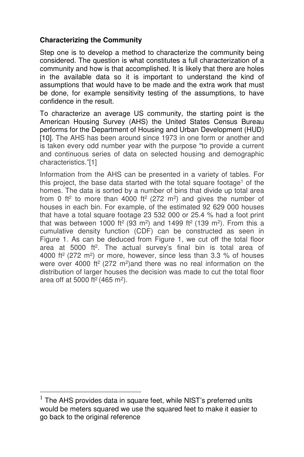## **Characterizing the Community**

Step one is to develop a method to characterize the community being considered. The question is what constitutes a full characterization of a community and how is that accomplished. It is likely that there are holes in the available data so it is important to understand the kind of assumptions that would have to be made and the extra work that must be done, for example sensitivity testing of the assumptions, to have confidence in the result.

To characterize an average US community, the starting point is the American Housing Survey (AHS) the United States Census Bureau performs for the Department of Housing and Urban Development (HUD) [10]. The AHS has been around since 1973 in one form or another and is taken every odd number year with the purpose "to provide a current and continuous series of data on selected housing and demographic characteristics."[1]

Information from the AHS can be presented in a variety of tables. For this project, the base data started with the total square footage<sup>1</sup> of the homes. The data is sorted by a number of bins that divide up total area from 0 ft<sup>2</sup> to more than 4000 ft<sup>2</sup> (272 m<sup>2</sup>) and gives the number of houses in each bin. For example, of the estimated 92 629 000 houses that have a total square footage 23 532 000 or 25.4 % had a foot print that was between 1000 ft<sup>2</sup> (93 m<sup>2</sup>) and 1499 ft<sup>2</sup> (139 m<sup>2</sup>). From this a cumulative density function (CDF) can be constructed as seen in Figure 1. As can be deduced from Figure 1, we cut off the total floor area at 5000 ft<sup>2</sup>. The actual survey's final bin is total area of 4000 ft<sup>2</sup> (272 m<sup>2</sup>) or more, however, since less than 3.3 % of houses were over 4000 ft<sup>2</sup> (272 m<sup>2</sup>)and there was no real information on the distribution of larger houses the decision was made to cut the total floor area off at 5000 ft<sup>2</sup> (465 m<sup>2</sup>).

 $\overline{a}$ 

 $<sup>1</sup>$  The AHS provides data in square feet, while NIST's preferred units</sup> would be meters squared we use the squared feet to make it easier to go back to the original reference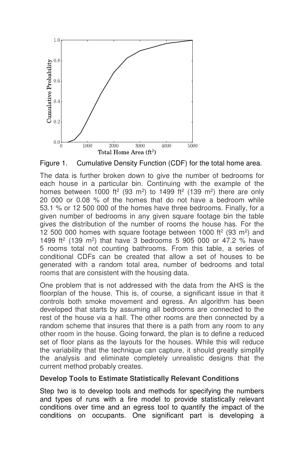

Figure 1. Cumulative Density Function (CDF) for the total home area.

The data is further broken down to give the number of bedrooms for each house in a particular bin. Continuing with the example of the homes between 1000 ft<sup>2</sup> (93 m<sup>2</sup>) to 1499 ft<sup>2</sup> (139 m<sup>2</sup>) there are only 20 000 or 0.08 % of the homes that do not have a bedroom while 53.1 % or 12 500 000 of the homes have three bedrooms. Finally, for a given number of bedrooms in any given square footage bin the table gives the distribution of the number of rooms the house has. For the 12 500 000 homes with square footage between 1000 ft<sup>2</sup> (93 m<sup>2</sup>) and 1499 ft<sup>2</sup> (139 m<sup>2</sup>) that have 3 bedrooms 5 905 000 or 47.2 % have 5 rooms total not counting bathrooms. From this table, a series of conditional CDFs can be created that allow a set of houses to be generated with a random total area, number of bedrooms and total rooms that are consistent with the housing data.

One problem that is not addressed with the data from the AHS is the floorplan of the house. This is, of course, a significant issue in that it controls both smoke movement and egress. An algorithm has been developed that starts by assuming all bedrooms are connected to the rest of the house via a hall. The other rooms are then connected by a random scheme that insures that there is a path from any room to any other room in the house. Going forward, the plan is to define a reduced set of floor plans as the layouts for the houses. While this will reduce the variability that the technique can capture, it should greatly simplify the analysis and eliminate completely unrealistic designs that the current method probably creates.

## **Develop Tools to Estimate Statistically Relevant Conditions**

Step two is to develop tools and methods for specifying the numbers and types of runs with a fire model to provide statistically relevant conditions over time and an egress tool to quantify the impact of the conditions on occupants. One significant part is developing a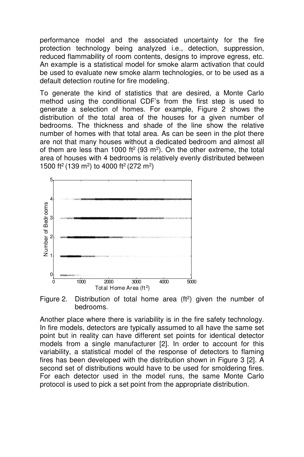performance model and the associated uncertainty for the fire protection technology being analyzed i.e., detection, suppression, reduced flammability of room contents, designs to improve egress, etc. An example is a statistical model for smoke alarm activation that could be used to evaluate new smoke alarm technologies, or to be used as a default detection routine for fire modeling.

To generate the kind of statistics that are desired, a Monte Carlo method using the conditional CDF's from the first step is used to generate a selection of homes. For example, Figure 2 shows the distribution of the total area of the houses for a given number of bedrooms. The thickness and shade of the line show the relative number of homes with that total area. As can be seen in the plot there are not that many houses without a dedicated bedroom and almost all of them are less than 1000 ft<sup>2</sup> (93 m<sup>2</sup>). On the other extreme, the total area of houses with 4 bedrooms is relatively evenly distributed between 1500 ft<sup>2</sup> (139 m<sup>2</sup>) to 4000 ft<sup>2</sup> (272 m<sup>2</sup>)



Figure 2. Distribution of total home area  $(f<sup>2</sup>)$  given the number of bedrooms.

Another place where there is variability is in the fire safety technology. In fire models, detectors are typically assumed to all have the same set point but in reality can have different set points for identical detector models from a single manufacturer [2]. In order to account for this variability, a statistical model of the response of detectors to flaming fires has been developed with the distribution shown in Figure 3 [2]. A second set of distributions would have to be used for smoldering fires. For each detector used in the model runs, the same Monte Carlo protocol is used to pick a set point from the appropriate distribution.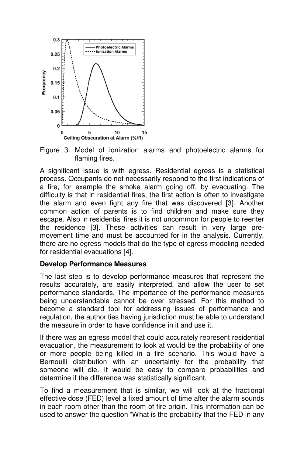

Figure 3. Model of ionization alarms and photoelectric alarms for flaming fires.

A significant issue is with egress. Residential egress is a statistical process. Occupants do not necessarily respond to the first indications of a fire, for example the smoke alarm going off, by evacuating. The difficulty is that in residential fires, the first action is often to investigate the alarm and even fight any fire that was discovered [3]. Another common action of parents is to find children and make sure they escape. Also in residential fires it is not uncommon for people to reenter the residence [3]. These activities can result in very large premovement time and must be accounted for in the analysis. Currently, there are no egress models that do the type of egress modeling needed for residential evacuations [4].

#### **Develop Performance Measures**

The last step is to develop performance measures that represent the results accurately, are easily interpreted, and allow the user to set performance standards. The importance of the performance measures being understandable cannot be over stressed. For this method to become a standard tool for addressing issues of performance and regulation, the authorities having jurisdiction must be able to understand the measure in order to have confidence in it and use it.

If there was an egress model that could accurately represent residential evacuation, the measurement to look at would be the probability of one or more people being killed in a fire scenario. This would have a Bernoulli distribution with an uncertainty for the probability that someone will die. It would be easy to compare probabilities and determine if the difference was statistically significant.

To find a measurement that is similar, we will look at the fractional effective dose (FED) level a fixed amount of time after the alarm sounds in each room other than the room of fire origin. This information can be used to answer the question "What is the probability that the FED in any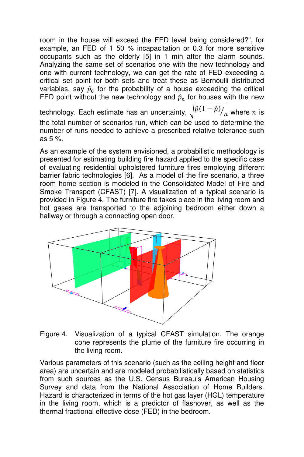room in the house will exceed the FED level being considered?", for example, an FED of 1 50 % incapacitation or 0.3 for more sensitive occupants such as the elderly [5] in 1 min after the alarm sounds. Analyzing the same set of scenarios one with the new technology and one with current technology, we can get the rate of FED exceeding a critical set point for both sets and treat these as Bernoulli distributed variables, say  $\hat{p}_0$  for the probability of a house exceeding the critical FED point without the new technology and  $\hat{p}_n$  for houses with the new

technology. Each estimate has an uncertainty,  $\sqrt{p(1-p)} /_{n}$  where  $n$  is the total number of scenarios run, which can be used to determine the number of runs needed to achieve a prescribed relative tolerance such as 5 %.

As an example of the system envisioned, a probabilistic methodology is presented for estimating building fire hazard applied to the specific case of evaluating residential upholstered furniture fires employing different barrier fabric technologies [6]. As a model of the fire scenario, a three room home section is modeled in the Consolidated Model of Fire and Smoke Transport (CFAST) [7]. A visualization of a typical scenario is provided in Figure 4. The furniture fire takes place in the living room and hot gases are transported to the adjoining bedroom either down a hallway or through a connecting open door.



Figure 4. Visualization of a typical CFAST simulation. The orange cone represents the plume of the furniture fire occurring in the living room.

Various parameters of this scenario (such as the ceiling height and floor area) are uncertain and are modeled probabilistically based on statistics from such sources as the U.S. Census Bureau's American Housing Survey and data from the National Association of Home Builders. Hazard is characterized in terms of the hot gas layer (HGL) temperature in the living room, which is a predictor of flashover, as well as the thermal fractional effective dose (FED) in the bedroom.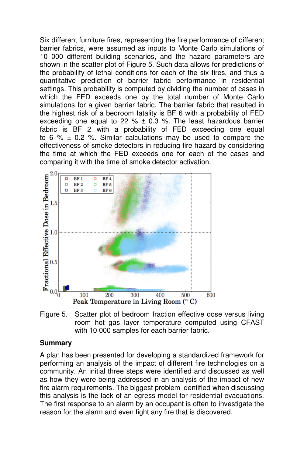Six different furniture fires, representing the fire performance of different barrier fabrics, were assumed as inputs to Monte Carlo simulations of 10 000 different building scenarios, and the hazard parameters are shown in the scatter plot of Figure 5. Such data allows for predictions of the probability of lethal conditions for each of the six fires, and thus a quantitative prediction of barrier fabric performance in residential settings. This probability is computed by dividing the number of cases in which the FED exceeds one by the total number of Monte Carlo simulations for a given barrier fabric. The barrier fabric that resulted in the highest risk of a bedroom fatality is BF 6 with a probability of FED exceeding one equal to 22 %  $\pm$  0.3 %. The least hazardous barrier fabric is BF 2 with a probability of FED exceeding one equal to 6 %  $\pm$  0.2 %. Similar calculations may be used to compare the effectiveness of smoke detectors in reducing fire hazard by considering the time at which the FED exceeds one for each of the cases and comparing it with the time of smoke detector activation.



Figure 5. Scatter plot of bedroom fraction effective dose versus living room hot gas layer temperature computed using CFAST with 10 000 samples for each barrier fabric.

#### **Summary**

A plan has been presented for developing a standardized framework for performing an analysis of the impact of different fire technologies on a community. An initial three steps were identified and discussed as well as how they were being addressed in an analysis of the impact of new fire alarm requirements. The biggest problem identified when discussing this analysis is the lack of an egress model for residential evacuations. The first response to an alarm by an occupant is often to investigate the reason for the alarm and even fight any fire that is discovered.